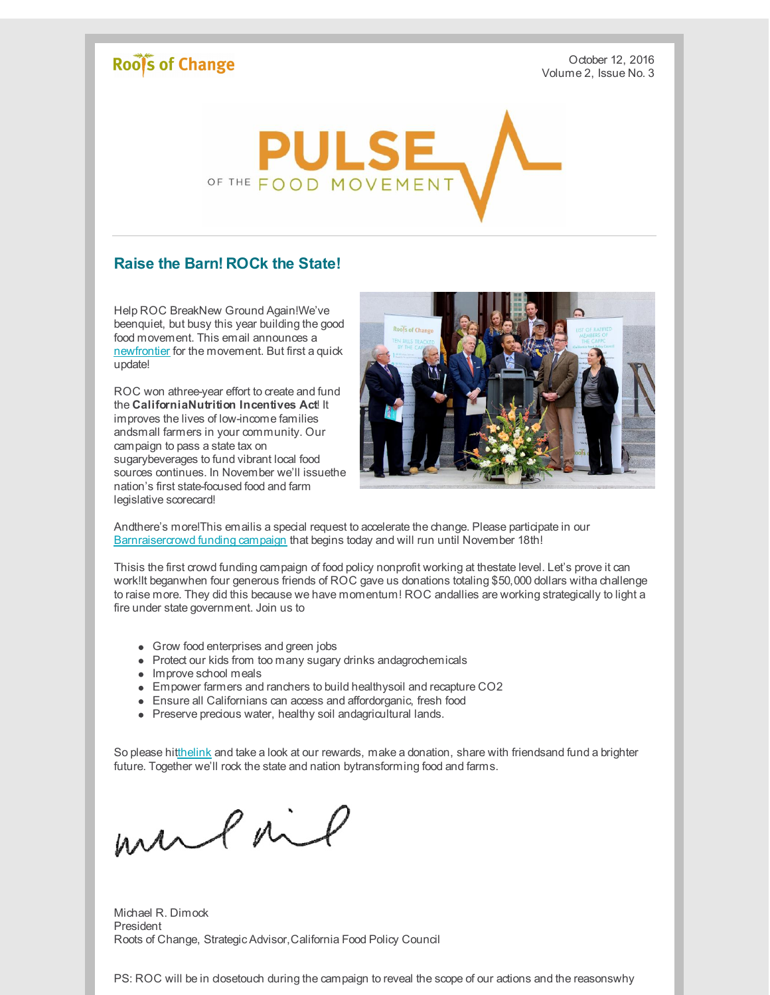## Roof's of Change

October 12, 2016 Volume 2, Issue No. 3



## **Raise the Barn! ROCk the State!**

Help ROC BreakNew Ground Again!We've beenquiet, but busy this year building the good food movement. This email announces a [newfrontier](http://r20.rs6.net/tn.jsp?f=001Ty2VHPi7G-x-x7EGExQNOEWk9t_luH2G1DjctkmbH8uZoP-7th6g2SO01aTLE58Zgcf2WgCAeaI6rM-3MkgyNd-XXU88wwN-HnP-_cMGHX61DYarj30whv9N3kyA7SZu0mSqx0GBmEClLu-_0xIvxRv1zOOxWlpbCiQ_v6XfaliatSQz-DYzJeEEjYxABfDwR_bV1y_e734aeZynP8k6DWdg3C2pfZ-g&c=&ch=) for the movement. But first a quick update!

ROC won athree-year effort to create and fund the **CaliforniaNutrition Incentives Act**! It improves the lives of low-income families andsmall farmers in your community. Our campaign to pass a state tax on sugarybeverages to fund vibrant local food sources continues. In November we'll issuethe nation's first state-focused food and farm legislative scorecard!



Andthere's more!This emailis a special request to accelerate the change. Please participate in our [Barnraisercrowd](http://r20.rs6.net/tn.jsp?f=001Ty2VHPi7G-x-x7EGExQNOEWk9t_luH2G1DjctkmbH8uZoP-7th6g2SO01aTLE58Zgcf2WgCAeaI6rM-3MkgyNd-XXU88wwN-HnP-_cMGHX61DYarj30whv9N3kyA7SZu0mSqx0GBmEClLu-_0xIvxRv1zOOxWlpbCiQ_v6XfaliatSQz-DYzJeEEjYxABfDwR_bV1y_e734aeZynP8k6DWdg3C2pfZ-g&c=&ch=) funding campaign that begins today and will run until November 18th!

Thisis the first crowd funding campaign of food policy nonprofit working at thestate level. Let's prove it can work!It beganwhen four generous friends of ROC gave us donations totaling \$50,000 dollars witha challenge to raise more. They did this because we have momentum! ROC andallies are working strategically to light a fire under state government. Join us to

- Grow food enterprises and green jobs
- Protect our kids from too many sugary drinks andagrochemicals
- Improve school meals
- Empower farmers and ranchers to build healthysoil and recapture CO2
- Ensure all Californians can access and affordorganic, fresh food
- Preserve precious water, healthy soil andagricultural lands.

So please hi[tthelink](http://r20.rs6.net/tn.jsp?f=001Ty2VHPi7G-x-x7EGExQNOEWk9t_luH2G1DjctkmbH8uZoP-7th6g2SO01aTLE58Zgcf2WgCAeaI6rM-3MkgyNd-XXU88wwN-HnP-_cMGHX61DYarj30whv9N3kyA7SZu0mSqx0GBmEClLu-_0xIvxRv1zOOxWlpbCiQ_v6XfaliatSQz-DYzJeEEjYxABfDwR_bV1y_e734aeZynP8k6DWdg3C2pfZ-g&c=&ch=) and take a look at our rewards, make a donation, share with friendsand fund a brighter future. Together we'll rock the state and nation bytransforming food and farms.

mulail

Michael R. Dimock President Roots of Change, Strategic Advisor,California Food Policy Council

PS: ROC will be in dosetouch during the campaign to reveal the scope of our actions and the reasonswhy